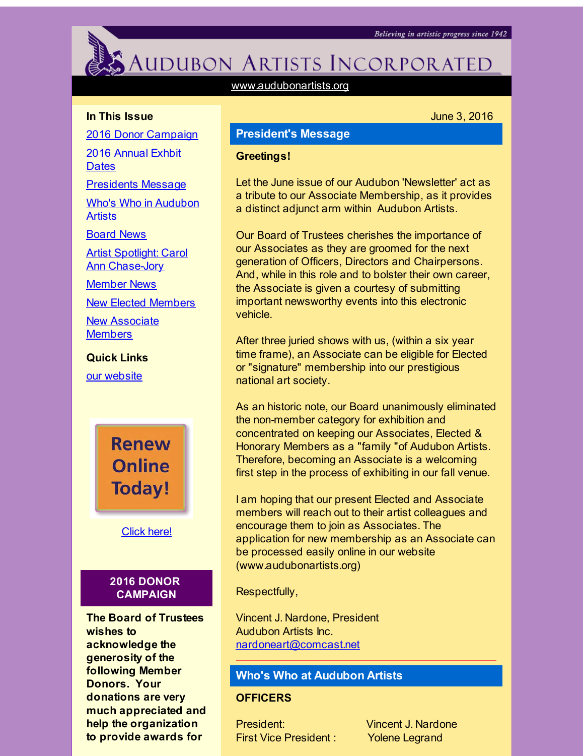# <span id="page-0-0"></span>AUDUBON ARTISTS INCORPORATED

[www.audubonartists.org](http://r20.rs6.net/tn.jsp?f=001aDOn8D7PzRFRFYufydD69MPkUB5FPg6l9X5RG5DAd0J1VJZrNszHNy_IGC1IngEERf0xqFRQ6XmHgh8ambv-EYrsGNbPq4vuB3N2shnOMWdGEabwfw3jJE8xJAq4mGZih4HsrrwdXuDqVVcQNlsijkHgtioe_G_h4WTu5thuxU_rxFzu4mPAiA==&c=&ch=)

#### **In This Issue**

2016 Donor [Campaign](#page-0-0)

2016 [Annual](#page-0-0) Exhbit **Dates** 

[Presidents](#page-0-0) Message

Who's Who in [Audubon](#page-0-0) **Artists** 

[Board](#page-0-0) News

Artist Spotlight: Carol Ann [Chase-Jory](#page-0-0)

[Member](#page-0-0) News

New Elected [Members](#page-0-0)

New [Associate](#page-0-0) **Members** 

**Quick Links**

our [website](http://r20.rs6.net/tn.jsp?f=001aDOn8D7PzRFRFYufydD69MPkUB5FPg6l9X5RG5DAd0J1VJZrNszHNy_IGC1IngEERf0xqFRQ6XmHgh8ambv-EYrsGNbPq4vuB3N2shnOMWdGEabwfw3jJE8xJAq4mGZih4HsrrwdXuDqVVcQNlsijkHgtioe_G_h4WTu5thuxU_rxFzu4mPAiA==&c=&ch=)

**Renew Online Today!** 

[Click](http://r20.rs6.net/tn.jsp?f=001aDOn8D7PzRFRFYufydD69MPkUB5FPg6l9X5RG5DAd0J1VJZrNszHN9qwplPRQuoBpn86zqno4zGPEOMqcO4GabGZRWUzghTujSqjG3rFQXHaR7ZdGe3P1ej5_z5z3ZGgLCVMEEcyaRdTUNlmeoeD_ghCBmfdggBL2exYSCKquDvDfcV8jXHYOh5RSHtVSWErzaFrh07hBb4=&c=&ch=) here!

#### **2016 DONOR CAMPAIGN**

**The Board of Trustees wishes to acknowledge the generosity of the following Member Donors. Your donations are very much appreciated and help the organization to provide awards for**

## **President's Message**

#### June 3, 2016

#### **Greetings!**

Let the June issue of our Audubon 'Newsletter' act as a tribute to our Associate Membership, as it provides a distinct adjunct arm within Audubon Artists.

Our Board of Trustees cherishes the importance of our Associates as they are groomed for the next generation of Officers, Directors and Chairpersons. And, while in this role and to bolster their own career, the Associate is given a courtesy of submitting important newsworthy events into this electronic vehicle.

After three juried shows with us, (within a six year time frame), an Associate can be eligible for Elected or "signature" membership into our prestigious national art society.

As an historic note, our Board unanimously eliminated the non-member category for exhibition and concentrated on keeping our Associates, Elected & Honorary Members as a "family "of Audubon Artists. Therefore, becoming an Associate is a welcoming first step in the process of exhibiting in our fall venue.

I am hoping that our present Elected and Associate members will reach out to their artist colleagues and encourage them to join as Associates. The application for new membership as an Associate can be processed easily online in our website (www.audubonartists.org)

Respectfully,

Vincent J. Nardone, President Audubon Artists Inc. [nardoneart@comcast.net](mailto:nardoneart@comcast.net)

#### **Who's Who at Audubon Artists**

#### **OFFICERS**

First Vice President : Yolene Legrand

President: Vincent J. Nardone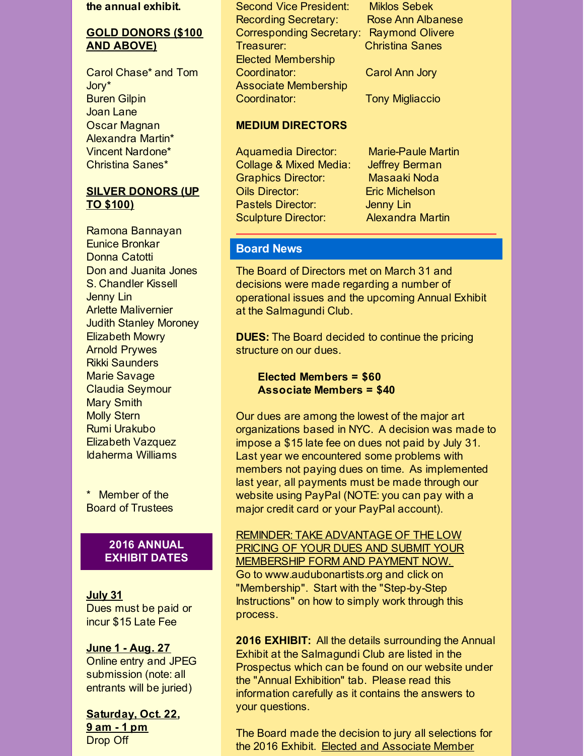#### **the annual exhibit.**

#### **GOLD DONORS (\$100 AND ABOVE)**

Carol Chase\* and Tom Jory\* Buren Gilpin Joan Lane Oscar Magnan Alexandra Martin\* Vincent Nardone\* Christina Sanes\*

#### **SILVER DONORS (UP TO \$100)**

Ramona Bannayan Eunice Bronkar Donna Catotti Don and Juanita Jones S. Chandler Kissell Jenny Lin Arlette Malivernier Judith Stanley Moroney Elizabeth Mowry Arnold Prywes Rikki Saunders Marie Savage Claudia Seymour Mary Smith Molly Stern Rumi Urakubo Elizabeth Vazquez Idaherma Williams

\* Member of the Board of Trustees

#### **2016 ANNUAL EXHIBIT DATES**

**July 31** Dues must be paid or incur \$15 Late Fee

### **June 1 - Aug. 27** Online entry and JPEG

submission (note: all entrants will be juried)

**Saturday, Oct. 22, 9 am - 1 pm** Drop Off

Second Vice President: Miklos Sebek Recording Secretary: Rose Ann Albanese Corresponding Secretary: Raymond Olivere Treasurer: Christina Sanes Elected Membership Coordinator: Carol Ann Jory Associate Membership Coordinator: Tony Migliaccio

#### **MEDIUM DIRECTORS**

Aquamedia Director: Marie-Paule Martin Collage & Mixed Media: Jeffrey Berman Graphics Director: Masaaki Noda Oils Director: Eric Michelson Pastels Director: **Jenny Lin** Sculpture Director: Alexandra Martin

#### **Board News**

The Board of Directors met on March 31 and decisions were made regarding a number of operational issues and the upcoming Annual Exhibit at the Salmagundi Club.

**DUES:** The Board decided to continue the pricing structure on our dues.

**Elected Members = \$60 Associate Members = \$40**

Our dues are among the lowest of the major art organizations based in NYC. A decision was made to impose a \$15 late fee on dues not paid by July 31. Last year we encountered some problems with members not paying dues on time. As implemented last year, all payments must be made through our website using PayPal (NOTE: you can pay with a major credit card or your PayPal account).

REMINDER: TAKE ADVANTAGE OF THE LOW PRICING OF YOUR DUES AND SUBMIT YOUR MEMBERSHIP FORM AND PAYMENT NOW. Go to www.audubonartists.org and click on "Membership". Start with the "Step-by-Step Instructions" on how to simply work through this process.

**2016 EXHIBIT:** All the details surrounding the Annual Exhibit at the Salmagundi Club are listed in the Prospectus which can be found on our website under the "Annual Exhibition" tab. Please read this information carefully as it contains the answers to your questions.

The Board made the decision to jury all selections for the 2016 Exhibit. Elected and Associate Member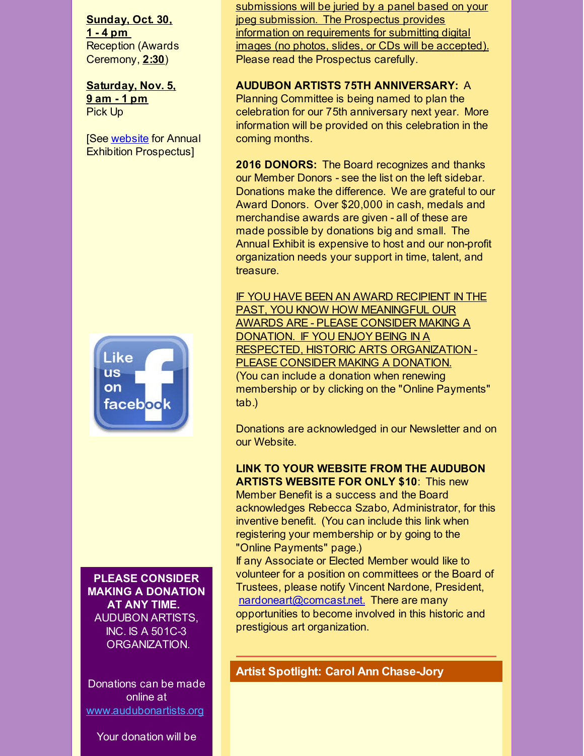**Sunday, Oct. 30, 1 - 4 pm** Reception (Awards Ceremony, **2:30**)

**Saturday, Nov. 5, 9 am - 1 pm** Pick Up

[See [website](http://r20.rs6.net/tn.jsp?f=001aDOn8D7PzRFRFYufydD69MPkUB5FPg6l9X5RG5DAd0J1VJZrNszHNy_IGC1IngEERf0xqFRQ6XmHgh8ambv-EYrsGNbPq4vuB3N2shnOMWdGEabwfw3jJE8xJAq4mGZih4HsrrwdXuDqVVcQNlsijkHgtioe_G_h4WTu5thuxU_rxFzu4mPAiA==&c=&ch=) for Annual Exhibition Prospectus]



submissions will be juried by a panel based on your jpeg submission. The Prospectus provides information on requirements for submitting digital images (no photos, slides, or CDs will be accepted). Please read the Prospectus carefully.

#### **AUDUBON ARTISTS 75TH ANNIVERSARY:** A

Planning Committee is being named to plan the celebration for our 75th anniversary next year. More information will be provided on this celebration in the coming months.

**2016 DONORS:** The Board recognizes and thanks our Member Donors - see the list on the left sidebar. Donations make the difference. We are grateful to our Award Donors. Over \$20,000 in cash, medals and merchandise awards are given - all of these are made possible by donations big and small. The Annual Exhibit is expensive to host and our non-profit organization needs your support in time, talent, and treasure.

IF YOU HAVE BEEN AN AWARD RECIPIENT IN THE PAST, YOU KNOW HOW MEANINGFUL OUR AWARDS ARE - PLEASE CONSIDER MAKING A DONATION. IF YOU ENJOY BEING IN A RESPECTED, HISTORIC ARTS ORGANIZATION - PLEASE CONSIDER MAKING A DONATION. (You can include a donation when renewing membership or by clicking on the "Online Payments" tab.)

Donations are acknowledged in our Newsletter and on our Website.

#### **LINK TO YOUR WEBSITE FROM THE AUDUBON ARTISTS WEBSITE FOR ONLY \$10**: This new

Member Benefit is a success and the Board acknowledges Rebecca Szabo, Administrator, for this inventive benefit. (You can include this link when registering your membership or by going to the "Online Payments" page.)

If any Associate or Elected Member would like to volunteer for a position on committees or the Board of Trustees, please notify Vincent Nardone, President, [nardoneart@comcast.net.](mailto:nardoneart@comcast.net) There are many opportunities to become involved in this historic and prestigious art organization.

**PLEASE CONSIDER MAKING A DONATION AT ANY TIME.** AUDUBON ARTISTS, INC. IS A 501C-3 ORGANIZATION.

Donations can be made online at [www.audubonartists.org](http://r20.rs6.net/tn.jsp?f=001aDOn8D7PzRFRFYufydD69MPkUB5FPg6l9X5RG5DAd0J1VJZrNszHN_LHS0-POlzdZCunbuvtf6hBcA1lbDjzz4fQfNo6EFPYzFxIUjB5uC_180pvmO3Ng3j25HQZWmQTxO0une_nmXktlyPS7sz50je9fWqDnd1kOYFmO4Tj2CTKTecVOHeubMDi5FvVUPmF&c=&ch=)

Your donation will be

**Artist Spotlight: Carol Ann Chase-Jory**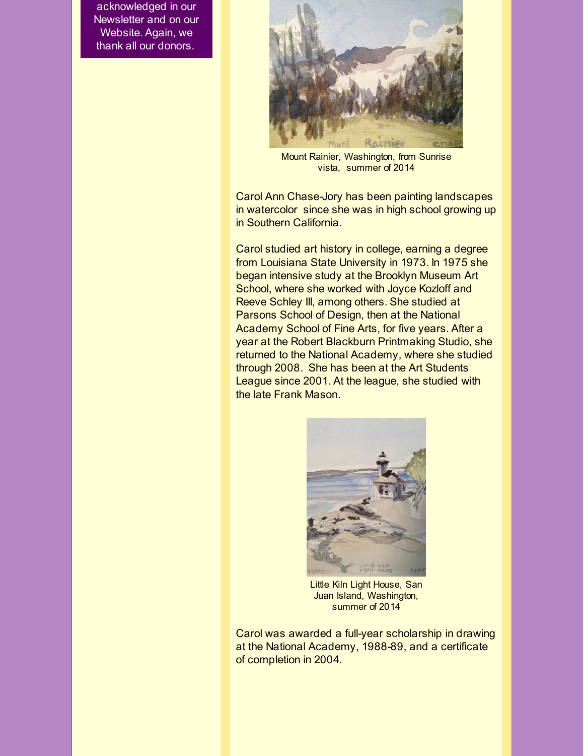acknowledged in our Newsletter and on our Website. Again, we thank all our donors.



Mount Rainier, Washington, from Sunrise vista, summer of 2014

Carol Ann Chase-Jory has been painting landscapes in watercolor since she was in high school growing up in Southern California.

Carol studied art history in college, earning a degree from Louisiana State University in 1973. In 1975 she began intensive study at the Brooklyn Museum Art School, where she worked with Joyce Kozloff and Reeve Schley III, among others. She studied at Parsons School of Design, then at the National Academy School of Fine Arts, for five years. After a year at the Robert Blackburn Printmaking Studio, she returned to the National Academy, where she studied through 2008. She has been at the Art Students League since 2001. At the league, she studied with the late Frank Mason.



Little Kiln Light House, San Juan Island, Washington, summer of 2014

Carol was awarded a full-year scholarship in drawing at the National Academy, 1988-89, and a certificate of completion in 2004.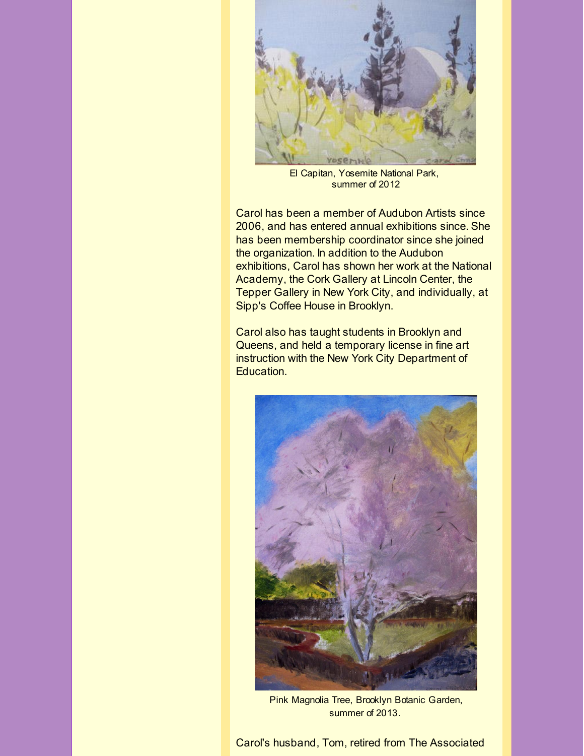

El Capitan, Yosemite National Park, summer of 2012

Carol has been a member of Audubon Artists since 2006, and has entered annual exhibitions since. She has been membership coordinator since she joined the organization. In addition to the Audubon exhibitions, Carol has shown her work at the National Academy, the Cork Gallery at Lincoln Center, the Tepper Gallery in New York City, and individually, at Sipp's Coffee House in Brooklyn.

Carol also has taught students in Brooklyn and Queens, and held a temporary license in fine art instruction with the New York City Department of Education.



Pink Magnolia Tree, Brooklyn Botanic Garden, summer of 2013.

Carol's husband, Tom, retired from The Associated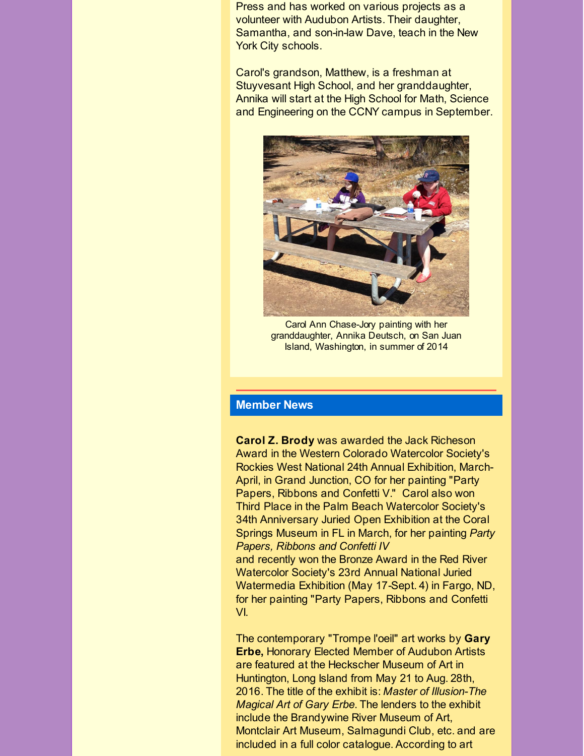Press and has worked on various projects as a volunteer with Audubon Artists. Their daughter, Samantha, and son-in-law Dave, teach in the New York City schools.

Carol's grandson, Matthew, is a freshman at Stuyvesant High School, and her granddaughter, Annika will start at the High School for Math, Science and Engineering on the CCNY campus in September.



Carol Ann Chase-Jory painting with her granddaughter, Annika Deutsch, on San Juan Island, Washington, in summer of 2014

#### **Member News**

**Carol Z. Brody** was awarded the Jack Richeson Award in the Western Colorado Watercolor Society's Rockies West National 24th Annual Exhibition, March-April, in Grand Junction, CO for her painting "Party Papers, Ribbons and Confetti V." Carol also won Third Place in the Palm Beach Watercolor Society's 34th Anniversary Juried Open Exhibition at the Coral Springs Museum in FL in March, for her painting *Party Papers, Ribbons and Confetti IV*

and recently won the Bronze Award in the Red River Watercolor Society's 23rd Annual National Juried Watermedia Exhibition (May 17-Sept. 4) in Fargo, ND, for her painting "Party Papers, Ribbons and Confetti VI.

The contemporary "Trompe l'oeil" art works by **Gary Erbe,** Honorary Elected Member of Audubon Artists are featured at the Heckscher Museum of Art in Huntington, Long Island from May 21 to Aug. 28th, 2016. The title of the exhibit is: *Master of Illusion-The Magical Art of Gary Erbe*. The lenders to the exhibit include the Brandywine River Museum of Art, Montclair Art Museum, Salmagundi Club, etc. and are included in a full color catalogue. According to art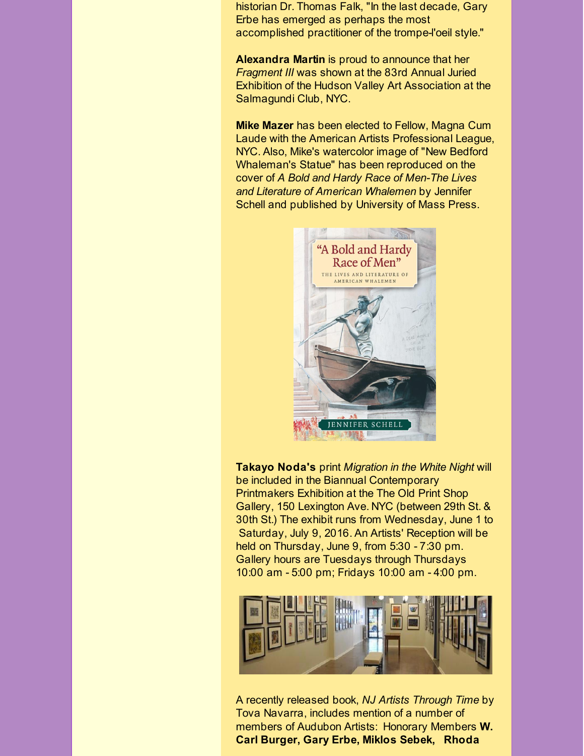historian Dr. Thomas Falk, "In the last decade, Gary Erbe has emerged as perhaps the most accomplished practitioner of the trompe-l'oeil style."

**Alexandra Martin** is proud to announce that her *Fragment III* was shown at the 83rd Annual Juried Exhibition of the Hudson Valley Art Association at the Salmagundi Club, NYC.

**Mike Mazer** has been elected to Fellow, Magna Cum Laude with the American Artists Professional League, NYC. Also, Mike's watercolor image of "New Bedford Whaleman's Statue" has been reproduced on the cover of *A Bold and Hardy Race of Men-The Lives and Literature of American Whalemen* by Jennifer Schell and published by University of Mass Press.



**Takayo Noda's** print *Migration in the White Night* will be included in the Biannual Contemporary Printmakers Exhibition at the The Old Print Shop Gallery, 150 Lexington Ave. NYC (between 29th St. & 30th St.) The exhibit runs from Wednesday, June 1 to Saturday, July 9, 2016. An Artists' Reception will be held on Thursday, June 9, from 5:30 - 7:30 pm. Gallery hours are Tuesdays through Thursdays 10:00 am - 5:00 pm; Fridays 10:00 am - 4:00 pm.



A recently released book, *NJ Artists Through Time* by Tova Navarra, includes mention of a number of members of Audubon Artists: Honorary Members **W. Carl Burger, Gary Erbe, Miklos Sebek, Rhoda**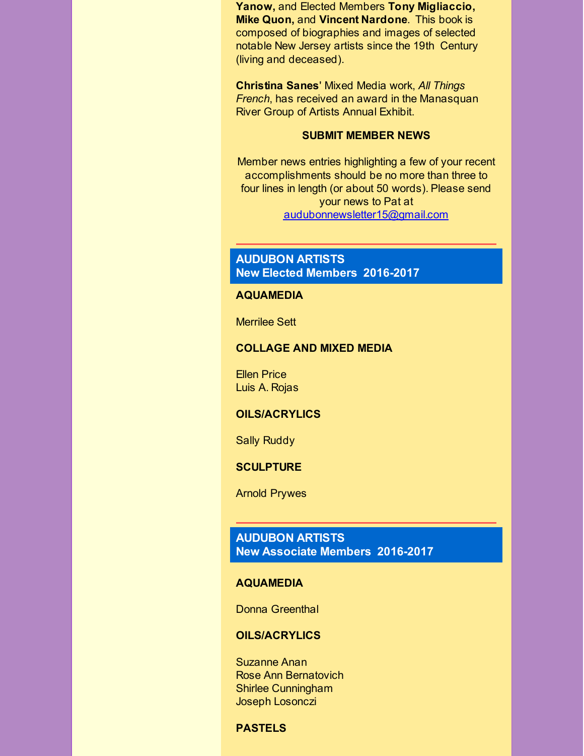**Yanow,** and Elected Members **Tony Migliaccio, Mike Quon,** and **Vincent Nardone**. This book is composed of biographies and images of selected notable New Jersey artists since the 19th Century (living and deceased).

**Christina Sanes**' Mixed Media work, *All Things French*, has received an award in the Manasquan River Group of Artists Annual Exhibit.

#### **SUBMIT MEMBER NEWS**

Member news entries highlighting a few of your recent accomplishments should be no more than three to four lines in length (or about 50 words). Please send your news to Pat at [audubonnewsletter15@gmail.com](mailto:audubonnewsletter15@gmail.com)

#### **AUDUBON ARTISTS New Elected Members 2016-2017**

#### **AQUAMEDIA**

Merrilee Sett

#### **COLLAGE AND MIXED MEDIA**

Ellen Price Luis A. Rojas

#### **OILS/ACRYLICS**

Sally Ruddy

#### **SCULPTURE**

Arnold Prywes

#### **AUDUBON ARTISTS New Associate Members 2016-2017**

#### **AQUAMEDIA**

Donna Greenthal

#### **OILS/ACRYLICS**

Suzanne Anan Rose Ann Bernatovich Shirlee Cunningham Joseph Losonczi

#### **PASTELS**